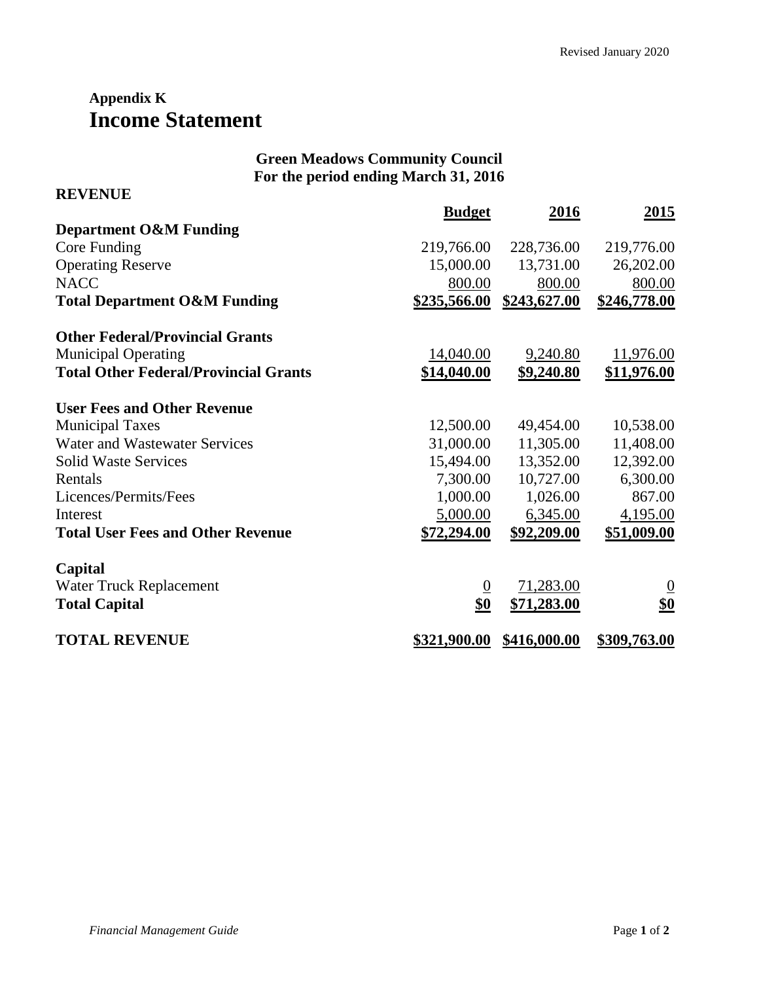## **Appendix K Income Statement**

**REVENUE**

## **Green Meadows Community Council For the period ending March 31, 2016**

|                                              | <b>Budget</b>   | 2016         | <u>2015</u>    |
|----------------------------------------------|-----------------|--------------|----------------|
| <b>Department O&amp;M Funding</b>            |                 |              |                |
| Core Funding                                 | 219,766.00      | 228,736.00   | 219,776.00     |
| <b>Operating Reserve</b>                     | 15,000.00       | 13,731.00    | 26,202.00      |
| <b>NACC</b>                                  | 800.00          | 800.00       | 800.00         |
| <b>Total Department O&amp;M Funding</b>      | \$235,566.00    | \$243,627.00 | \$246,778.00   |
| <b>Other Federal/Provincial Grants</b>       |                 |              |                |
| <b>Municipal Operating</b>                   | 14,040.00       | 9,240.80     | 11,976.00      |
| <b>Total Other Federal/Provincial Grants</b> | \$14,040.00     | \$9,240.80   | \$11,976.00    |
| <b>User Fees and Other Revenue</b>           |                 |              |                |
| <b>Municipal Taxes</b>                       | 12,500.00       | 49,454.00    | 10,538.00      |
| Water and Wastewater Services                | 31,000.00       | 11,305.00    | 11,408.00      |
| <b>Solid Waste Services</b>                  | 15,494.00       | 13,352.00    | 12,392.00      |
| Rentals                                      | 7,300.00        | 10,727.00    | 6,300.00       |
| Licences/Permits/Fees                        | 1,000.00        | 1,026.00     | 867.00         |
| Interest                                     | 5,000.00        | 6,345.00     | 4,195.00       |
| <b>Total User Fees and Other Revenue</b>     | \$72,294.00     | \$92,209.00  | \$51,009.00    |
| Capital                                      |                 |              |                |
| Water Truck Replacement                      | $\underline{0}$ | 71,283.00    | $\overline{0}$ |
| <b>Total Capital</b>                         | \$0             | \$71,283.00  | \$0            |
| <b>TOTAL REVENUE</b>                         | \$321,900.00    | \$416,000.00 | \$309,763.00   |